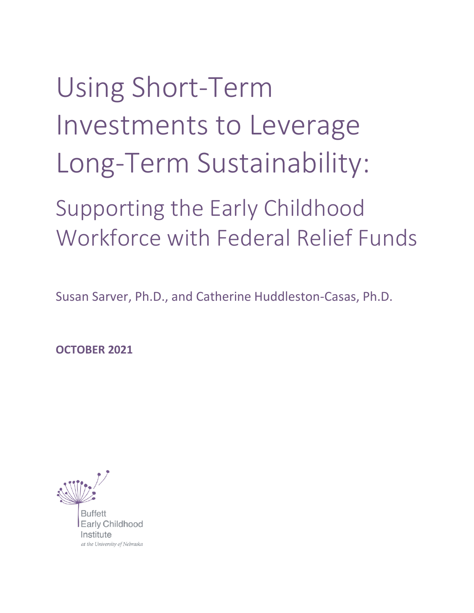# Using Short-Term Investments to Leverage Long-Term Sustainability:

## Supporting the Early Childhood Workforce with Federal Relief Funds

Susan Sarver, Ph.D., and Catherine Huddleston-Casas, Ph.D.

**OCTOBER 2021**

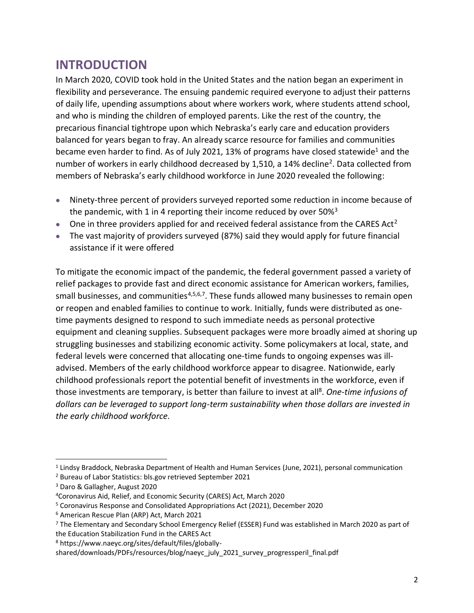### **INTRODUCTION**

In March 2020, COVID took hold in the United States and the nation began an experiment in flexibility and perseverance. The ensuing pandemic required everyone to adjust their patterns of daily life, upending assumptions about where workers work, where students attend school, and who is minding the children of employed parents. Like the rest of the country, the precarious financial tightrope upon which Nebraska's early care and education providers balanced for years began to fray. An already scarce resource for families and communities became even harder to find. As of July 2021, 13% of programs have closed statewide<sup>1</sup> and the number of workers in early childhood decreased by 1,510, a 14% decline<sup>2</sup>. Data collected from members of Nebraska's early childhood workforce in June 2020 revealed the following:

- Ninety-three percent of providers surveyed reported some reduction in income because of the pandemic, with 1 in 4 reporting their income reduced by over  $50\%$ <sup>3</sup>
- One in three providers applied for and received federal assistance from the CARES Act<sup>2</sup>
- The vast majority of providers surveyed (87%) said they would apply for future financial assistance if it were offered

To mitigate the economic impact of the pandemic, the federal government passed a variety of relief packages to provide fast and direct economic assistance for American workers, families, small businesses, and communities<sup>4,5,6,7</sup>. These funds allowed many businesses to remain open or reopen and enabled families to continue to work. Initially, funds were distributed as onetime payments designed to respond to such immediate needs as personal protective equipment and cleaning supplies. Subsequent packages were more broadly aimed at shoring up struggling businesses and stabilizing economic activity. Some policymakers at local, state, and federal levels were concerned that allocating one-time funds to ongoing expenses was illadvised. Members of the early childhood workforce appear to disagree. Nationwide, early childhood professionals report the potential benefit of investments in the workforce, even if those investments are temporary, is better than failure to invest at all<sup>8</sup>. One-time infusions of *dollars can be leveraged to support long-term sustainability when those dollars are invested in the early childhood workforce.*

<sup>1</sup> Lindsy Braddock, Nebraska Department of Health and Human Services (June, 2021), personal communication

<sup>2</sup> Bureau of Labor Statistics: bls.gov retrieved September 2021

<sup>3</sup> Daro & Gallagher, August 2020

<sup>4</sup>Coronavirus Aid, Relief, and Economic Security (CARES) Act, March 2020

<sup>5</sup> Coronavirus Response and Consolidated Appropriations Act (2021), December 2020

<sup>6</sup> American Rescue Plan (ARP) Act, March 2021

<sup>7</sup> The Elementary and Secondary School Emergency Relief (ESSER) Fund was established in March 2020 as part of the Education Stabilization Fund in the CARES Act

<sup>8</sup> https://www.naeyc.org/sites/default/files/globally-

shared/downloads/PDFs/resources/blog/naeyc\_july\_2021\_survey\_progressperil\_final.pdf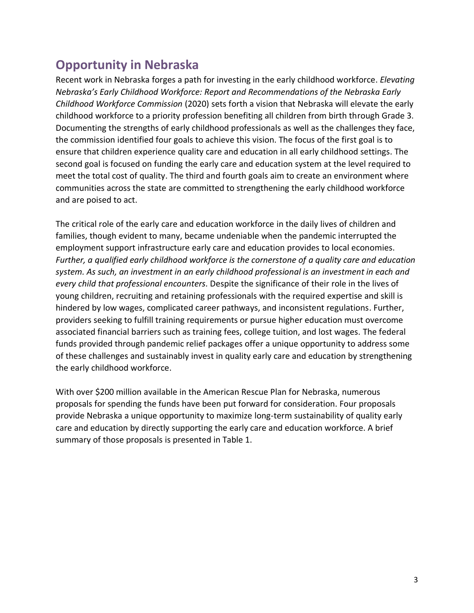## **Opportunity in Nebraska**

Recent work in Nebraska forges a path for investing in the early childhood workforce. *Elevating Nebraska's Early Childhood Workforce: Report and Recommendations of the Nebraska Early Childhood Workforce Commission* (2020) sets forth a vision that Nebraska will elevate the early childhood workforce to a priority profession benefiting all children from birth through Grade 3. Documenting the strengths of early childhood professionals as well as the challenges they face, the commission identified four goals to achieve this vision. The focus of the first goal is to ensure that children experience quality care and education in all early childhood settings. The second goal is focused on funding the early care and education system at the level required to meet the total cost of quality. The third and fourth goals aim to create an environment where communities across the state are committed to strengthening the early childhood workforce and are poised to act.

The critical role of the early care and education workforce in the daily lives of children and families, though evident to many, became undeniable when the pandemic interrupted the employment support infrastructure early care and education provides to local economies. *Further, a qualified early childhood workforce is the cornerstone of a quality care and education system. As such, an investment in an early childhood professional is an investment in each and every child that professional encounters.* Despite the significance of their role in the lives of young children, recruiting and retaining professionals with the required expertise and skill is hindered by low wages, complicated career pathways, and inconsistent regulations. Further, providers seeking to fulfill training requirements or pursue higher education must overcome associated financial barriers such as training fees, college tuition, and lost wages. The federal funds provided through pandemic relief packages offer a unique opportunity to address some of these challenges and sustainably invest in quality early care and education by strengthening the early childhood workforce.

With over \$200 million available in the American Rescue Plan for Nebraska, numerous proposals for spending the funds have been put forward for consideration. Four proposals provide Nebraska a unique opportunity to maximize long-term sustainability of quality early care and education by directly supporting the early care and education workforce. A brief summary of those proposals is presented in Table 1.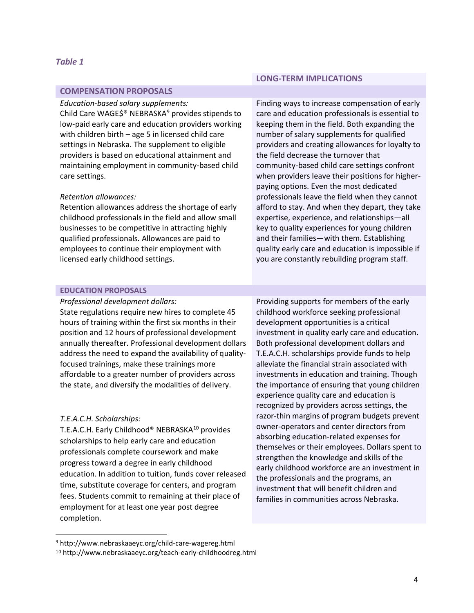#### **COMPENSATION PROPOSALS**

#### *Education-based salary supplements:*

Child Care WAGE\$® NEBRASKA<sup>9</sup> provides stipends to low-paid early care and education providers working with children birth – age 5 in licensed child care settings in Nebraska. The supplement to eligible providers is based on educational attainment and maintaining employment in community-based child care settings.

#### *Retention allowances:*

Retention allowances address the shortage of early childhood professionals in the field and allow small businesses to be competitive in attracting highly qualified professionals. Allowances are paid to employees to continue their employment with licensed early childhood settings.

#### **LONG-TERM IMPLICATIONS**

Finding ways to increase compensation of early care and education professionals is essential to keeping them in the field. Both expanding the number of salary supplements for qualified providers and creating allowances for loyalty to the field decrease the turnover that community-based child care settings confront when providers leave their positions for higherpaying options. Even the most dedicated professionals leave the field when they cannot afford to stay. And when they depart, they take expertise, experience, and relationships—all key to quality experiences for young children and their families—with them. Establishing quality early care and education is impossible if you are constantly rebuilding program staff.

#### **EDUCATION PROPOSALS**

#### *Professional development dollars:*

State regulations require new hires to complete 45 hours of training within the first six months in their position and 12 hours of professional development annually thereafter. Professional development dollars address the need to expand the availability of qualityfocused trainings, make these trainings more affordable to a greater number of providers across the state, and diversify the modalities of delivery.

#### *T.E.A.C.H. Scholarships:*

T.E.A.C.H. Early Childhood® NEBRASKA<sup>10</sup> provides scholarships to help early care and education professionals complete coursework and make progress toward a degree in early childhood education. In addition to tuition, funds cover released time, substitute coverage for centers, and program fees. Students commit to remaining at their place of employment for at least one year post degree completion.

Providing supports for members of the early childhood workforce seeking professional development opportunities is a critical investment in quality early care and education. Both professional development dollars and T.E.A.C.H. scholarships provide funds to help alleviate the financial strain associated with investments in education and training. Though the importance of ensuring that young children experience quality care and education is recognized by providers across settings, the razor-thin margins of program budgets prevent owner-operators and center directors from absorbing education-related expenses for themselves or their employees. Dollars spent to strengthen the knowledge and skills of the early childhood workforce are an investment in the professionals and the programs, an investment that will benefit children and families in communities across Nebraska.

<sup>9</sup> http://www.nebraskaaeyc.org/child-care-wagereg.html

<sup>10</sup> http://www.nebraskaaeyc.org/teach-early-childhoodreg.html